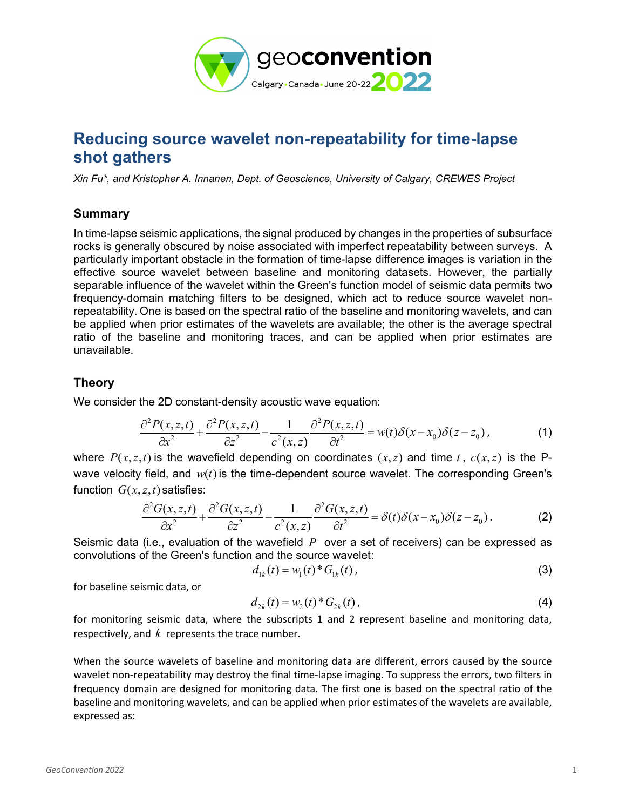

# **Reducing source wavelet non-repeatability for time-lapse shot gathers**

*Xin Fu\*, and Kristopher A. Innanen, Dept. of Geoscience, University of Calgary, CREWES Project*

### **Summary**

In time-lapse seismic applications, the signal produced by changes in the properties of subsurface rocks is generally obscured by noise associated with imperfect repeatability between surveys. A particularly important obstacle in the formation of time-lapse difference images is variation in the effective source wavelet between baseline and monitoring datasets. However, the partially separable influence of the wavelet within the Green's function model of seismic data permits two frequency-domain matching filters to be designed, which act to reduce source wavelet nonrepeatability. One is based on the spectral ratio of the baseline and monitoring wavelets, and can be applied when prior estimates of the wavelets are available; the other is the average spectral ratio of the baseline and monitoring traces, and can be applied when prior estimates are unavailable.

## **Theory**

We consider the 2D constant-density acoustic wave equation:

$$
\frac{\partial^2 P(x,z,t)}{\partial x^2} + \frac{\partial^2 P(x,z,t)}{\partial z^2} - \frac{1}{c^2(x,z)} \frac{\partial^2 P(x,z,t)}{\partial t^2} = w(t)\delta(x-x_0)\delta(z-z_0),\tag{1}
$$

where  $P(x, z, t)$  is the wavefield depending on coordinates  $(x, z)$  and time *t*,  $c(x, z)$  is the Pwave velocity field, and  $w(t)$  is the time-dependent source wavelet. The corresponding Green's function  $G(x, z, t)$  satisfies:

$$
\frac{\partial^2 G(x,z,t)}{\partial x^2} + \frac{\partial^2 G(x,z,t)}{\partial z^2} - \frac{1}{c^2(x,z)} \frac{\partial^2 G(x,z,t)}{\partial t^2} = \delta(t)\delta(x-x_0)\delta(z-z_0). \tag{2}
$$

Seismic data (i.e., evaluation of the wavefield *P* over a set of receivers) can be expressed as convolutions of the Green's function and the source wavelet:

$$
d_{1k}(t) = w_1(t)^* G_{1k}(t), \qquad (3)
$$

for baseline seismic data, or

$$
d_{2k}(t) = w_2(t)^* G_{2k}(t),
$$
\n(4)

for monitoring seismic data, where the subscripts 1 and 2 represent baseline and monitoring data, respectively, and *k* represents the trace number.

When the source wavelets of baseline and monitoring data are different, errors caused by the source wavelet non-repeatability may destroy the final time-lapse imaging. To suppress the errors, two filters in frequency domain are designed for monitoring data. The first one is based on the spectral ratio of the baseline and monitoring wavelets, and can be applied when prior estimates of the wavelets are available, expressed as: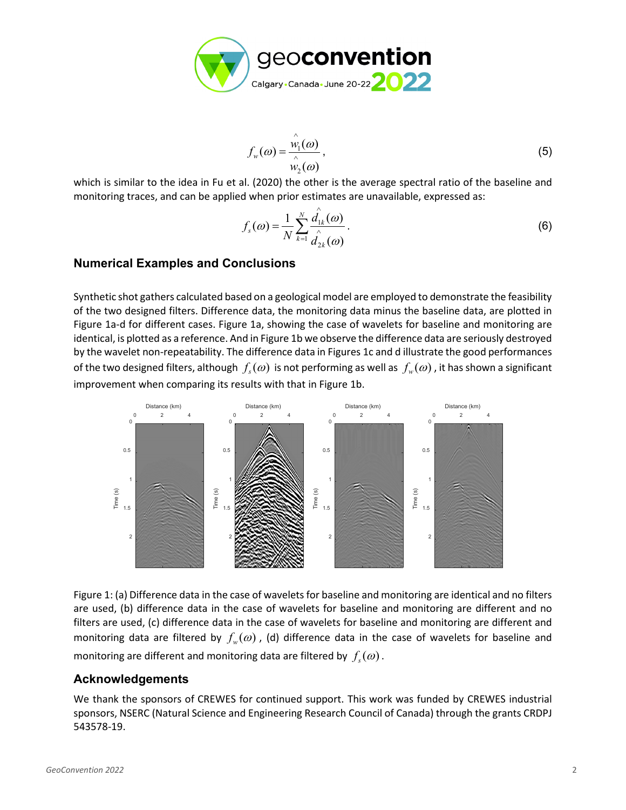

$$
f_w(\omega) = \frac{\stackrel{\wedge}{w_1}(\omega)}{\stackrel{\wedge}{w_2}(\omega)},
$$
\n(5)

which is similar to the idea in Fu et al. (2020) the other is the average spectral ratio of the baseline and monitoring traces, and can be applied when prior estimates are unavailable, expressed as:

$$
f_s(\omega) = \frac{1}{N} \sum_{k=1}^N \frac{\hat{d}_{1k}(\omega)}{\hat{d}_{2k}(\omega)}.
$$
 (6)

#### **Numerical Examples and Conclusions**

Synthetic shot gathers calculated based on a geological model are employed to demonstrate the feasibility of the two designed filters. Difference data, the monitoring data minus the baseline data, are plotted in Figure 1a-d for different cases. Figure 1a, showing the case of wavelets for baseline and monitoring are identical, is plotted as a reference. And in Figure 1b we observe the difference data are seriously destroyed by the wavelet non-repeatability. The difference data in Figures 1c and d illustrate the good performances of the two designed filters, although  $f_s(\omega)$  is not performing as well as  $f_w(\omega)$ , it has shown a significant improvement when comparing its results with that in Figure 1b.



Figure 1: (a) Difference data in the case of wavelets for baseline and monitoring are identical and no filters are used, (b) difference data in the case of wavelets for baseline and monitoring are different and no filters are used, (c) difference data in the case of wavelets for baseline and monitoring are different and monitoring data are filtered by  $f_w(\omega)$ , (d) difference data in the case of wavelets for baseline and monitoring are different and monitoring data are filtered by  $f_s(\omega)$ .

#### **Acknowledgements**

We thank the sponsors of CREWES for continued support. This work was funded by CREWES industrial sponsors, NSERC (Natural Science and Engineering Research Council of Canada) through the grants CRDPJ 543578-19.